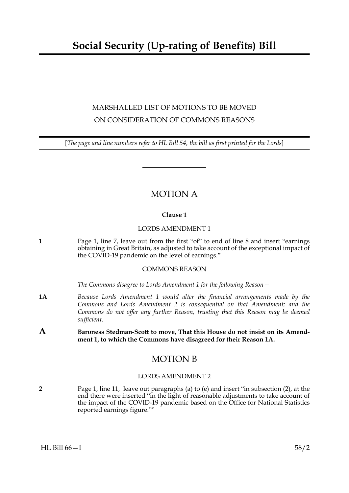# **Social Security (Up-rating of Benefits) Bill**

## MARSHALLED LIST OF MOTIONS TO BE MOVED ON CONSIDERATION OF COMMONS REASONS

[*The page and line numbers refer to HL Bill 54, the bill as first printed for the Lords*]

### MOTION A

#### **Clause 1**

#### LORDS AMENDMENT 1

**1** Page 1, line 7, leave out from the first "of" to end of line 8 and insert "earnings obtaining in Great Britain, as adjusted to take account of the exceptional impact of the COVID-19 pandemic on the level of earnings."

#### COMMONS REASON

*The Commons disagree to Lords Amendment 1 for the following Reason—*

- **1A** *Because Lords Amendment 1 would alter the financial arrangements made by the Commons and Lords Amendment 2 is consequential on that Amendment; and the Commons do not offer any further Reason, trusting that this Reason may be deemed sufficient.*
- **A Baroness Stedman-Scott to move, That this House do not insist on its Amendment 1, to which the Commons have disagreed for their Reason 1A.**

### MOTION B

#### LORDS AMENDMENT 2

**2** Page 1, line 11, leave out paragraphs (a) to (e) and insert "in subsection (2), at the end there were inserted "in the light of reasonable adjustments to take account of the impact of the COVID-19 pandemic based on the Office for National Statistics reported earnings figure.""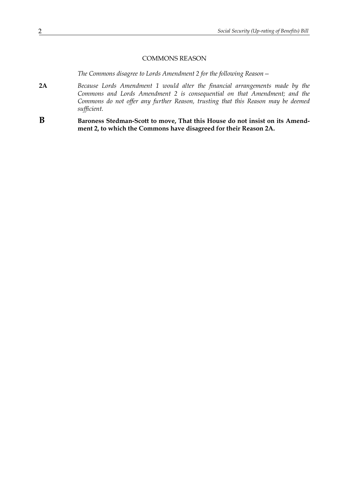#### COMMONS REASON

*The Commons disagree to Lords Amendment 2 for the following Reason—*

- **2A** *Because Lords Amendment 1 would alter the financial arrangements made by the Commons and Lords Amendment 2 is consequential on that Amendment; and the Commons do not offer any further Reason, trusting that this Reason may be deemed sufficient.*
- **B Baroness Stedman-Scott to move, That this House do not insist on its Amendment 2, to which the Commons have disagreed for their Reason 2A.**